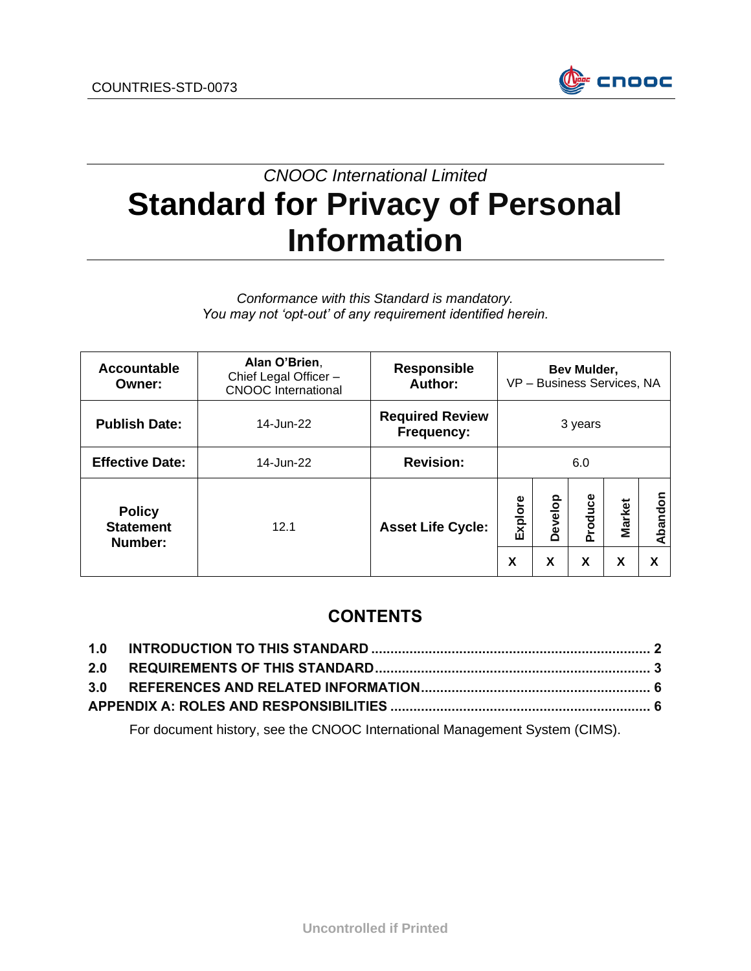

# *CNOOC International Limited* **Standard for Privacy of Personal Information**

*Conformance with this Standard is mandatory. You may not 'opt-out' of any requirement identified herein.*

| <b>Accountable</b><br>Owner:                 | Alan O'Brien,<br>Chief Legal Officer -<br><b>CNOOC</b> International | <b>Responsible</b><br>Author:        | Bev Mulder,<br>VP - Business Services, NA |              |              |                    |              |
|----------------------------------------------|----------------------------------------------------------------------|--------------------------------------|-------------------------------------------|--------------|--------------|--------------------|--------------|
| <b>Publish Date:</b>                         | 14-Jun-22                                                            | <b>Required Review</b><br>Frequency: |                                           |              | 3 years      |                    |              |
| <b>Effective Date:</b>                       | 14-Jun-22                                                            | <b>Revision:</b>                     | 6.0                                       |              |              |                    |              |
| <b>Policy</b><br><b>Statement</b><br>Number: | 12.1                                                                 | <b>Asset Life Cycle:</b>             | Explore<br>X                              | Develop<br>X | Produce<br>X | <b>Market</b><br>X | Abandon<br>X |

# **CONTENTS**

For document history, see the CNOOC International Management System (CIMS).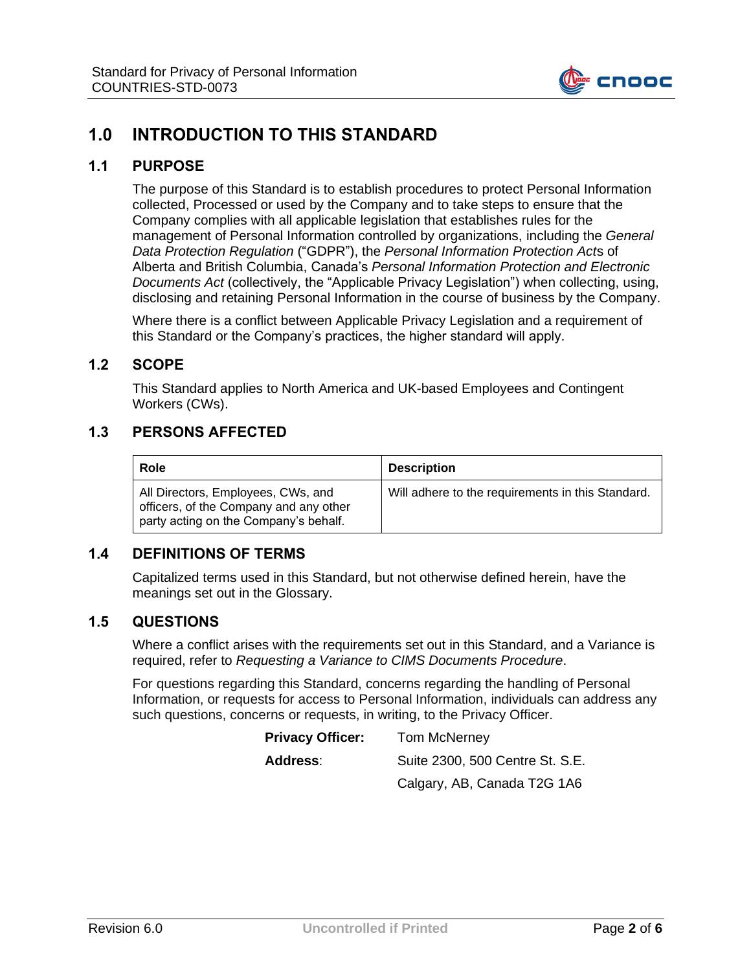

## <span id="page-1-0"></span>**1.0 INTRODUCTION TO THIS STANDARD**

#### **1.1 PURPOSE**

The purpose of this Standard is to establish procedures to protect Personal Information collected, Processed or used by the Company and to take steps to ensure that the Company complies with all applicable legislation that establishes rules for the management of Personal Information controlled by organizations, including the *General Data Protection Regulation* ("GDPR"), the *Personal Information Protection Act*s of Alberta and British Columbia, Canada's *Personal Information Protection and Electronic Documents Act* (collectively, the "Applicable Privacy Legislation") when collecting, using, disclosing and retaining Personal Information in the course of business by the Company.

Where there is a conflict between Applicable Privacy Legislation and a requirement of this Standard or the Company's practices, the higher standard will apply.

#### **1.2 SCOPE**

This Standard applies to North America and UK-based Employees and Contingent Workers (CWs).

#### **1.3 PERSONS AFFECTED**

| Role                                                                                                                  | <b>Description</b>                                |
|-----------------------------------------------------------------------------------------------------------------------|---------------------------------------------------|
| All Directors, Employees, CWs, and<br>officers, of the Company and any other<br>party acting on the Company's behalf. | Will adhere to the requirements in this Standard. |

#### **1.4 DEFINITIONS OF TERMS**

Capitalized terms used in this Standard, but not otherwise defined herein, have the meanings set out in the Glossary.

#### **1.5 QUESTIONS**

Where a conflict arises with the requirements set out in this Standard, and a Variance is required, refer to *Requesting a Variance to CIMS Documents Procedure*.

For questions regarding this Standard, concerns regarding the handling of Personal Information, or requests for access to Personal Information, individuals can address any such questions, concerns or requests, in writing, to the Privacy Officer.

| <b>Privacy Officer:</b> | <b>Tom McNerney</b>             |  |  |
|-------------------------|---------------------------------|--|--|
| Address:                | Suite 2300, 500 Centre St. S.E. |  |  |
|                         | Calgary, AB, Canada T2G 1A6     |  |  |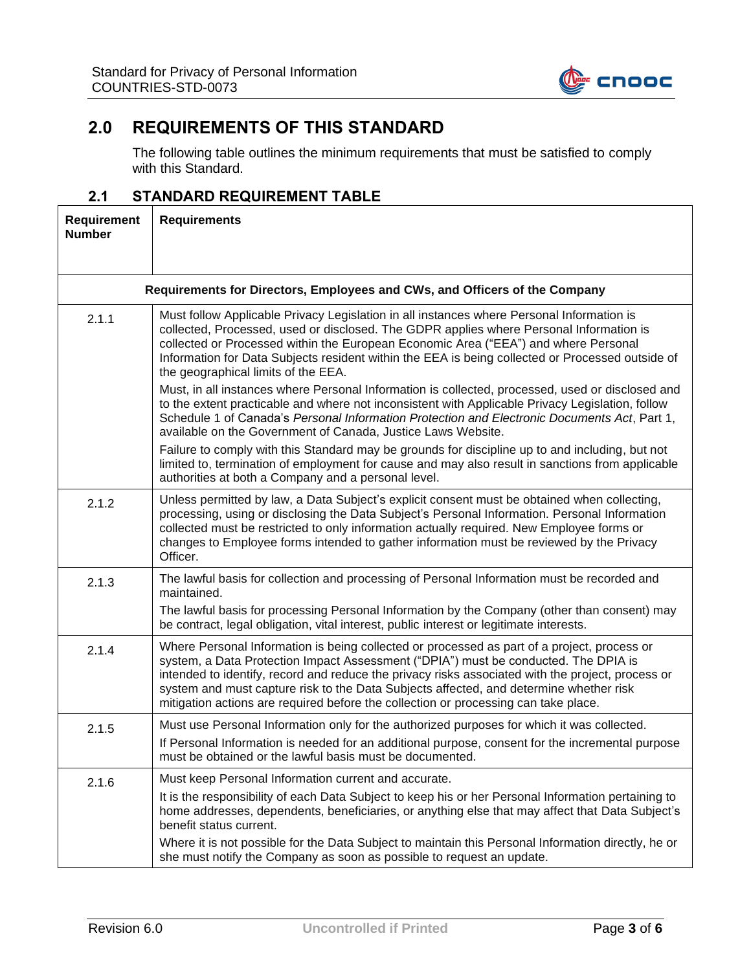

# <span id="page-2-0"></span>**2.0 REQUIREMENTS OF THIS STANDARD**

The following table outlines the minimum requirements that must be satisfied to comply with this Standard.

### **2.1 STANDARD REQUIREMENT TABLE**

| Requirement<br><b>Number</b> | <b>Requirements</b>                                                                                                                                                                                                                                                                                                                                                                                                                                                      |  |  |  |  |
|------------------------------|--------------------------------------------------------------------------------------------------------------------------------------------------------------------------------------------------------------------------------------------------------------------------------------------------------------------------------------------------------------------------------------------------------------------------------------------------------------------------|--|--|--|--|
|                              | Requirements for Directors, Employees and CWs, and Officers of the Company                                                                                                                                                                                                                                                                                                                                                                                               |  |  |  |  |
| 2.1.1                        | Must follow Applicable Privacy Legislation in all instances where Personal Information is<br>collected, Processed, used or disclosed. The GDPR applies where Personal Information is<br>collected or Processed within the European Economic Area ("EEA") and where Personal<br>Information for Data Subjects resident within the EEA is being collected or Processed outside of<br>the geographical limits of the EEA.                                                   |  |  |  |  |
|                              | Must, in all instances where Personal Information is collected, processed, used or disclosed and<br>to the extent practicable and where not inconsistent with Applicable Privacy Legislation, follow<br>Schedule 1 of Canada's Personal Information Protection and Electronic Documents Act, Part 1,<br>available on the Government of Canada, Justice Laws Website.                                                                                                     |  |  |  |  |
|                              | Failure to comply with this Standard may be grounds for discipline up to and including, but not<br>limited to, termination of employment for cause and may also result in sanctions from applicable<br>authorities at both a Company and a personal level.                                                                                                                                                                                                               |  |  |  |  |
| 2.1.2                        | Unless permitted by law, a Data Subject's explicit consent must be obtained when collecting,<br>processing, using or disclosing the Data Subject's Personal Information. Personal Information<br>collected must be restricted to only information actually required. New Employee forms or<br>changes to Employee forms intended to gather information must be reviewed by the Privacy<br>Officer.                                                                       |  |  |  |  |
| 2.1.3                        | The lawful basis for collection and processing of Personal Information must be recorded and<br>maintained.                                                                                                                                                                                                                                                                                                                                                               |  |  |  |  |
|                              | The lawful basis for processing Personal Information by the Company (other than consent) may<br>be contract, legal obligation, vital interest, public interest or legitimate interests.                                                                                                                                                                                                                                                                                  |  |  |  |  |
| 2.1.4                        | Where Personal Information is being collected or processed as part of a project, process or<br>system, a Data Protection Impact Assessment ("DPIA") must be conducted. The DPIA is<br>intended to identify, record and reduce the privacy risks associated with the project, process or<br>system and must capture risk to the Data Subjects affected, and determine whether risk<br>mitigation actions are required before the collection or processing can take place. |  |  |  |  |
| 2.1.5                        | Must use Personal Information only for the authorized purposes for which it was collected.<br>If Personal Information is needed for an additional purpose, consent for the incremental purpose<br>must be obtained or the lawful basis must be documented.                                                                                                                                                                                                               |  |  |  |  |
| 2.1.6                        | Must keep Personal Information current and accurate.<br>It is the responsibility of each Data Subject to keep his or her Personal Information pertaining to<br>home addresses, dependents, beneficiaries, or anything else that may affect that Data Subject's<br>benefit status current.<br>Where it is not possible for the Data Subject to maintain this Personal Information directly, he or                                                                         |  |  |  |  |
|                              | she must notify the Company as soon as possible to request an update.                                                                                                                                                                                                                                                                                                                                                                                                    |  |  |  |  |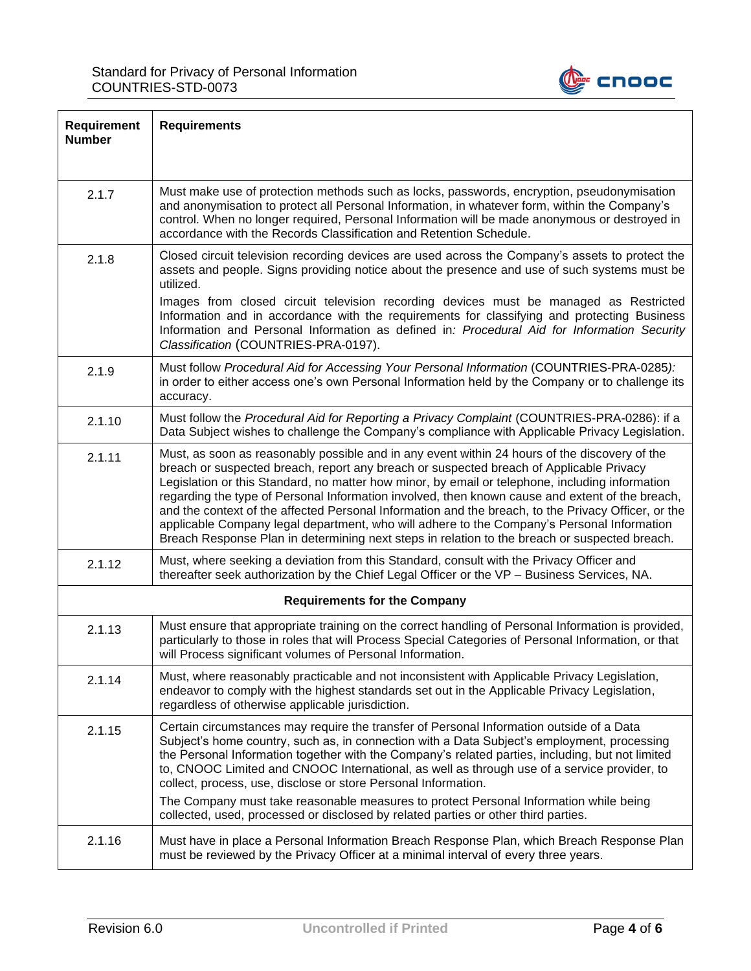

| Requirement<br><b>Number</b> | <b>Requirements</b>                                                                                                                                                                                                                                                                                                                                                                                                                                                                                                                                                                                                                                                                                  |
|------------------------------|------------------------------------------------------------------------------------------------------------------------------------------------------------------------------------------------------------------------------------------------------------------------------------------------------------------------------------------------------------------------------------------------------------------------------------------------------------------------------------------------------------------------------------------------------------------------------------------------------------------------------------------------------------------------------------------------------|
| 2.1.7                        | Must make use of protection methods such as locks, passwords, encryption, pseudonymisation<br>and anonymisation to protect all Personal Information, in whatever form, within the Company's<br>control. When no longer required, Personal Information will be made anonymous or destroyed in<br>accordance with the Records Classification and Retention Schedule.                                                                                                                                                                                                                                                                                                                                   |
| 2.1.8                        | Closed circuit television recording devices are used across the Company's assets to protect the<br>assets and people. Signs providing notice about the presence and use of such systems must be<br>utilized.                                                                                                                                                                                                                                                                                                                                                                                                                                                                                         |
|                              | Images from closed circuit television recording devices must be managed as Restricted<br>Information and in accordance with the requirements for classifying and protecting Business<br>Information and Personal Information as defined in: Procedural Aid for Information Security<br>Classification (COUNTRIES-PRA-0197).                                                                                                                                                                                                                                                                                                                                                                          |
| 2.1.9                        | Must follow Procedural Aid for Accessing Your Personal Information (COUNTRIES-PRA-0285):<br>in order to either access one's own Personal Information held by the Company or to challenge its<br>accuracy.                                                                                                                                                                                                                                                                                                                                                                                                                                                                                            |
| 2.1.10                       | Must follow the Procedural Aid for Reporting a Privacy Complaint (COUNTRIES-PRA-0286): if a<br>Data Subject wishes to challenge the Company's compliance with Applicable Privacy Legislation.                                                                                                                                                                                                                                                                                                                                                                                                                                                                                                        |
| 2.1.11                       | Must, as soon as reasonably possible and in any event within 24 hours of the discovery of the<br>breach or suspected breach, report any breach or suspected breach of Applicable Privacy<br>Legislation or this Standard, no matter how minor, by email or telephone, including information<br>regarding the type of Personal Information involved, then known cause and extent of the breach,<br>and the context of the affected Personal Information and the breach, to the Privacy Officer, or the<br>applicable Company legal department, who will adhere to the Company's Personal Information<br>Breach Response Plan in determining next steps in relation to the breach or suspected breach. |
| 2.1.12                       | Must, where seeking a deviation from this Standard, consult with the Privacy Officer and<br>thereafter seek authorization by the Chief Legal Officer or the VP - Business Services, NA.                                                                                                                                                                                                                                                                                                                                                                                                                                                                                                              |
|                              | <b>Requirements for the Company</b>                                                                                                                                                                                                                                                                                                                                                                                                                                                                                                                                                                                                                                                                  |
| 2.1.13                       | Must ensure that appropriate training on the correct handling of Personal Information is provided,<br>particularly to those in roles that will Process Special Categories of Personal Information, or that<br>will Process significant volumes of Personal Information.                                                                                                                                                                                                                                                                                                                                                                                                                              |
| 2.1.14                       | Must, where reasonably practicable and not inconsistent with Applicable Privacy Legislation,<br>endeavor to comply with the highest standards set out in the Applicable Privacy Legislation,<br>regardless of otherwise applicable jurisdiction.                                                                                                                                                                                                                                                                                                                                                                                                                                                     |
| 2.1.15                       | Certain circumstances may require the transfer of Personal Information outside of a Data<br>Subject's home country, such as, in connection with a Data Subject's employment, processing<br>the Personal Information together with the Company's related parties, including, but not limited<br>to, CNOOC Limited and CNOOC International, as well as through use of a service provider, to<br>collect, process, use, disclose or store Personal Information.<br>The Company must take reasonable measures to protect Personal Information while being<br>collected, used, processed or disclosed by related parties or other third parties.                                                          |
| 2.1.16                       | Must have in place a Personal Information Breach Response Plan, which Breach Response Plan<br>must be reviewed by the Privacy Officer at a minimal interval of every three years.                                                                                                                                                                                                                                                                                                                                                                                                                                                                                                                    |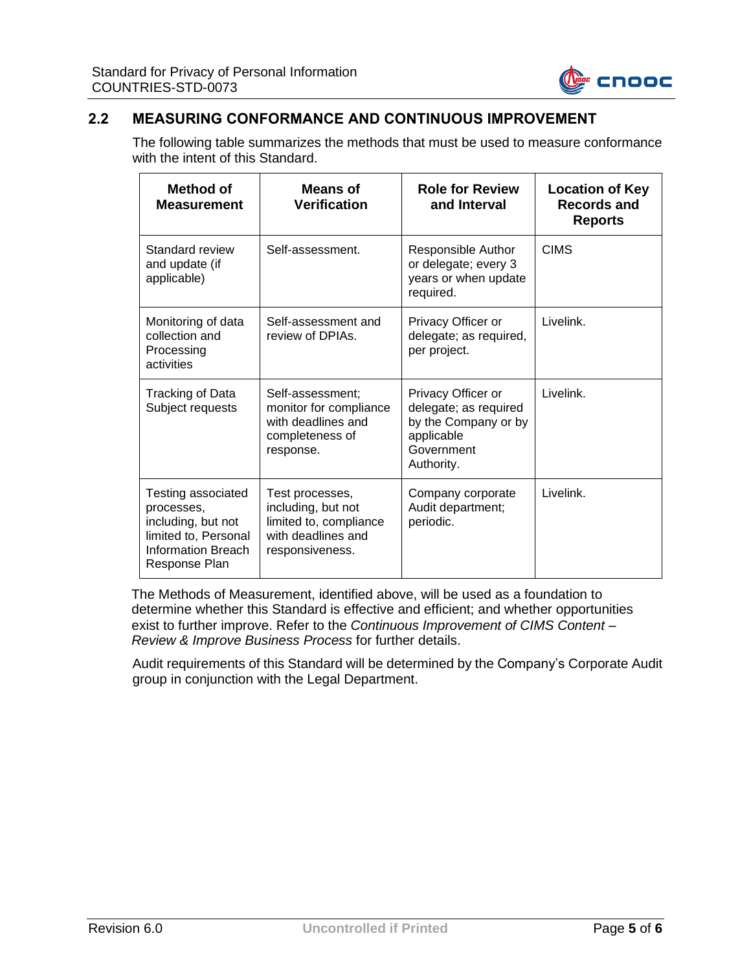

### **2.2 MEASURING CONFORMANCE AND CONTINUOUS IMPROVEMENT**

The following table summarizes the methods that must be used to measure conformance with the intent of this Standard.

| Method of<br><b>Measurement</b>                                                                                       | <b>Means of</b><br><b>Verification</b>                                                                   | <b>Role for Review</b><br>and Interval                                                                        | <b>Location of Key</b><br><b>Records and</b><br><b>Reports</b> |
|-----------------------------------------------------------------------------------------------------------------------|----------------------------------------------------------------------------------------------------------|---------------------------------------------------------------------------------------------------------------|----------------------------------------------------------------|
| Standard review<br>and update (if<br>applicable)                                                                      | Self-assessment.                                                                                         | Responsible Author<br>or delegate; every 3<br>years or when update<br>required.                               | <b>CIMS</b>                                                    |
| Monitoring of data<br>collection and<br>Processing<br>activities                                                      | Self-assessment and<br>review of DPIAs.                                                                  | Privacy Officer or<br>delegate; as required,<br>per project.                                                  | Livelink.                                                      |
| Tracking of Data<br>Subject requests                                                                                  | Self-assessment;<br>monitor for compliance<br>with deadlines and<br>completeness of<br>response.         | Privacy Officer or<br>delegate; as required<br>by the Company or by<br>applicable<br>Government<br>Authority. | Livelink.                                                      |
| Testing associated<br>processes,<br>including, but not<br>limited to, Personal<br>Information Breach<br>Response Plan | Test processes,<br>including, but not<br>limited to, compliance<br>with deadlines and<br>responsiveness. | Company corporate<br>Audit department;<br>periodic.                                                           | Livelink.                                                      |

The Methods of Measurement, identified above, will be used as a foundation to determine whether this Standard is effective and efficient; and whether opportunities exist to further improve. Refer to the *Continuous Improvement of CIMS Content – Review & Improve Business Process* for further details.

Audit requirements of this Standard will be determined by the Company's Corporate Audit group in conjunction with the Legal Department.